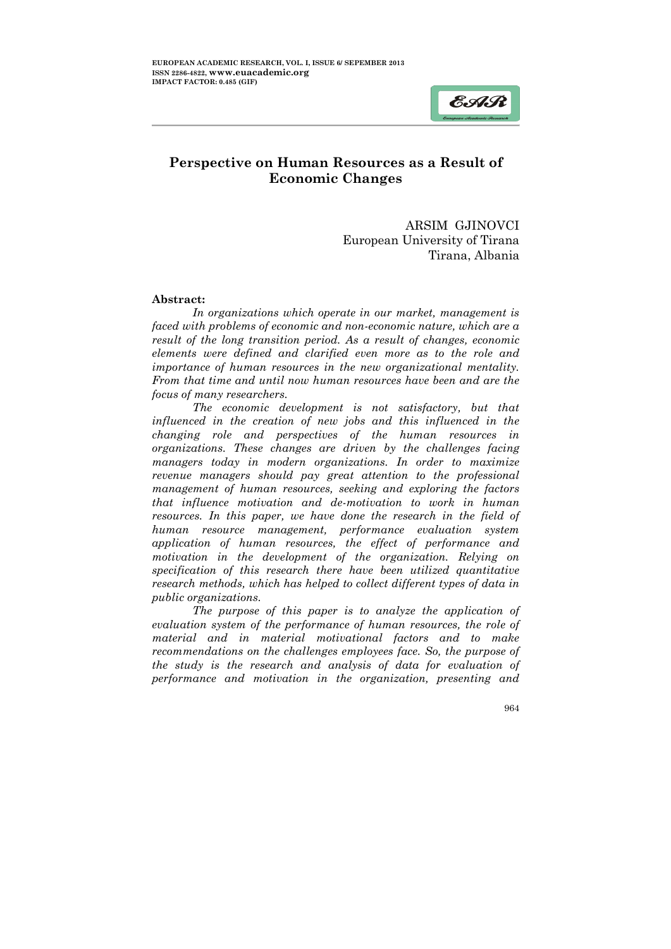# $EAR$

ļ

# Perspective on Human Resources as a Result of Economic Changes

ARSIM GJINOVCI European University of Tirana Tirana, Albania

#### Abstract:

*In organizations which operate in our market, management is faced with problems of economic and non-economic nature, which are a result of the long transition period. As a result of changes, economic elements were defined and clarified even more as to the role and importance of human resources in the new organizational mentality. From that time and until now human resources have been and are the focus of many researchers.* 

*The economic development is not satisfactory, but that influenced in the creation of new jobs and this influenced in the changing role and perspectives of the human resources in organizations. These changes are driven by the challenges facing managers today in modern organizations. In order to maximize revenue managers should pay great attention to the professional management of human resources, seeking and exploring the factors that influence motivation and de-motivation to work in human resources. In this paper, we have done the research in the field of human resource management, performance evaluation system application of human resources, the effect of performance and motivation in the development of the organization. Relying on specification of this research there have been utilized quantitative research methods, which has helped to collect different types of data in public organizations.*

*The purpose of this paper is to analyze the application of evaluation system of the performance of human resources, the role of material and in material motivational factors and to make recommendations on the challenges employees face. So, the purpose of the study is the research and analysis of data for evaluation of performance and motivation in the organization, presenting and*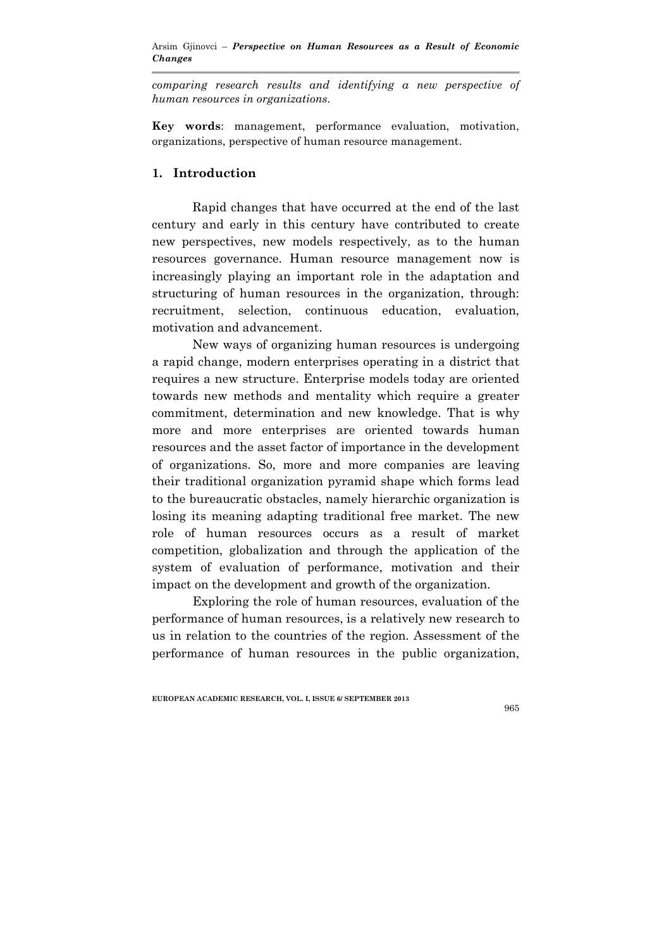*comparing research results and identifying a new perspective of human resources in organizations.*

Key words: management, performance evaluation, motivation, organizations, perspective of human resource management.

#### 1. Introduction

Rapid changes that have occurred at the end of the last century and early in this century have contributed to create new perspectives, new models respectively, as to the human resources governance. Human resource management now is increasingly playing an important role in the adaptation and structuring of human resources in the organization, through: recruitment, selection, continuous education, evaluation, motivation and advancement.

New ways of organizing human resources is undergoing a rapid change, modern enterprises operating in a district that requires a new structure. Enterprise models today are oriented towards new methods and mentality which require a greater commitment, determination and new knowledge. That is why more and more enterprises are oriented towards human resources and the asset factor of importance in the development of organizations. So, more and more companies are leaving their traditional organization pyramid shape which forms lead to the bureaucratic obstacles, namely hierarchic organization is losing its meaning adapting traditional free market. The new role of human resources occurs as a result of market competition, globalization and through the application of the system of evaluation of performance, motivation and their impact on the development and growth of the organization.

Exploring the role of human resources, evaluation of the performance of human resources, is a relatively new research to us in relation to the countries of the region. Assessment of the performance of human resources in the public organization,

EUROPEAN ACADEMIC RESEARCH, VOL. I, ISSUE 6/ SEPTEMBER 2013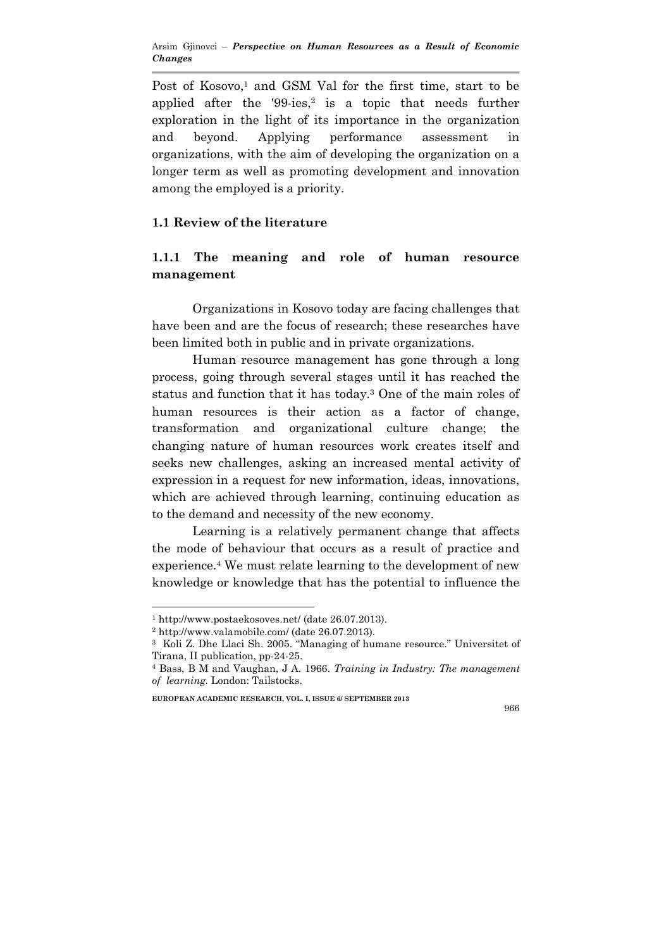Post of Kosovo,<sup>1</sup> and GSM Val for the first time, start to be applied after the  $'99$ -ies,<sup>2</sup> is a topic that needs further exploration in the light of its importance in the organization and beyond. Applying performance assessment in organizations, with the aim of developing the organization on a longer term as well as promoting development and innovation among the employed is a priority.

## 1.1 Review of the literature

## 1.1.1 The meaning and role of human resource management

Organizations in Kosovo today are facing challenges that have been and are the focus of research; these researches have been limited both in public and in private organizations.

 Human resource management has gone through a long process, going through several stages until it has reached the status and function that it has today.3 One of the main roles of human resources is their action as a factor of change, transformation and organizational culture change; the changing nature of human resources work creates itself and seeks new challenges, asking an increased mental activity of expression in a request for new information, ideas, innovations, which are achieved through learning, continuing education as to the demand and necessity of the new economy.

 Learning is a relatively permanent change that affects the mode of behaviour that occurs as a result of practice and experience.4 We must relate learning to the development of new knowledge or knowledge that has the potential to influence the

 $\overline{a}$ 

EUROPEAN ACADEMIC RESEARCH, VOL. I, ISSUE 6/ SEPTEMBER 2013

<sup>1</sup> http://www.postaekosoves.net/ (date 26.07.2013).

<sup>2</sup> http://www.valamobile.com/ (date 26.07.2013).

<sup>3</sup> Koli Z. Dhe Llaci Sh. 2005. "Managing of humane resource." Universitet of Tirana, II publication, pp-24-25.

<sup>4</sup> Bass, B M and Vaughan, J A. 1966. *Training in Industry: The management of learning.* London: Tailstocks.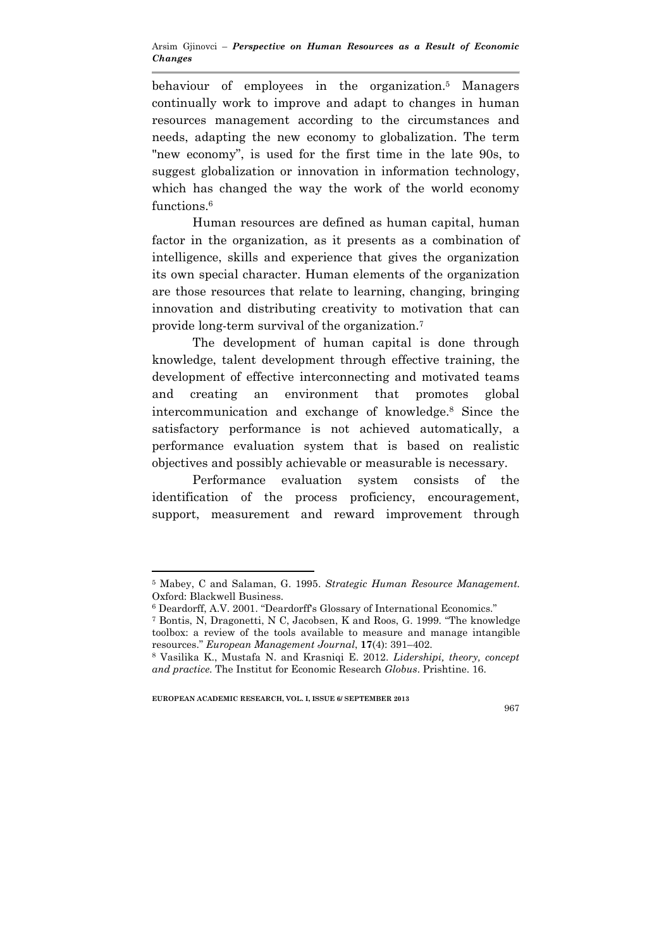behaviour of employees in the organization.5 Managers continually work to improve and adapt to changes in human resources management according to the circumstances and needs, adapting the new economy to globalization. The term "new economy", is used for the first time in the late 90s, to suggest globalization or innovation in information technology, which has changed the way the work of the world economy functions.<sup>6</sup>

 Human resources are defined as human capital, human factor in the organization, as it presents as a combination of intelligence, skills and experience that gives the organization its own special character. Human elements of the organization are those resources that relate to learning, changing, bringing innovation and distributing creativity to motivation that can provide long-term survival of the organization. 7

 The development of human capital is done through knowledge, talent development through effective training, the development of effective interconnecting and motivated teams and creating an environment that promotes global intercommunication and exchange of knowledge.8 Since the satisfactory performance is not achieved automatically, a performance evaluation system that is based on realistic objectives and possibly achievable or measurable is necessary.

 Performance evaluation system consists of the identification of the process proficiency, encouragement, support, measurement and reward improvement through

EUROPEAN ACADEMIC RESEARCH, VOL. I, ISSUE 6/ SEPTEMBER 2013

 $\overline{a}$ 

<sup>5</sup> Mabey, C and Salaman, G. 1995. *Strategic Human Resource Management.*  Oxford: Blackwell Business.

<sup>6</sup> Deardorff, A.V. 2001. "Deardorff's Glossary of International Economics."

<sup>7</sup> Bontis, N, Dragonetti, N C, Jacobsen, K and Roos, G. 1999. "The knowledge toolbox: a review of the tools available to measure and manage intangible resources." *European Management Journal*, 17(4): 391–402.

<sup>8</sup> Vasilika K., Mustafa N. and Krasniqi E. 2012. *Lidershipi, theory, concept and practice*. The Institut for Economic Research *Globus*. Prishtine. 16.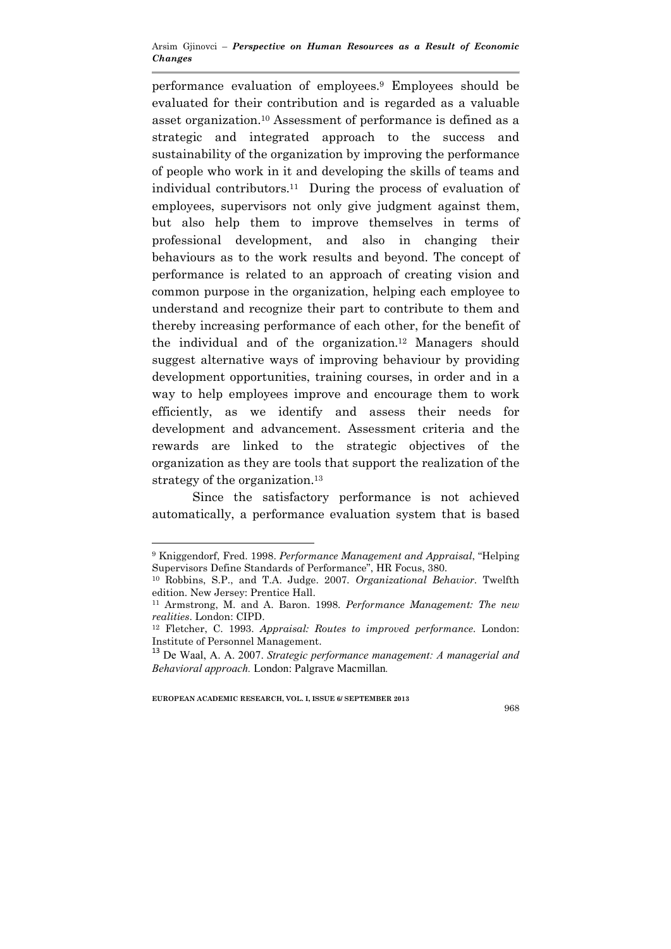performance evaluation of employees.9 Employees should be evaluated for their contribution and is regarded as a valuable asset organization.10 Assessment of performance is defined as a strategic and integrated approach to the success and sustainability of the organization by improving the performance of people who work in it and developing the skills of teams and individual contributors. 11 During the process of evaluation of employees, supervisors not only give judgment against them, but also help them to improve themselves in terms of professional development, and also in changing their behaviours as to the work results and beyond. The concept of performance is related to an approach of creating vision and common purpose in the organization, helping each employee to understand and recognize their part to contribute to them and thereby increasing performance of each other, for the benefit of the individual and of the organization.12 Managers should suggest alternative ways of improving behaviour by providing development opportunities, training courses, in order and in a way to help employees improve and encourage them to work efficiently, as we identify and assess their needs for development and advancement. Assessment criteria and the rewards are linked to the strategic objectives of the organization as they are tools that support the realization of the strategy of the organization.<sup>13</sup>

Since the satisfactory performance is not achieved automatically, a performance evaluation system that is based

EUROPEAN ACADEMIC RESEARCH, VOL. I, ISSUE 6/ SEPTEMBER 2013

 $\overline{a}$ 

<sup>9</sup> Kniggendorf, Fred. 1998. *Performance Management and Appraisal*, "Helping Supervisors Define Standards of Performance", HR Focus, 380.

<sup>10</sup> Robbins, S.P., and T.A. Judge. 2007*. Organizational Behavior.* Twelfth edition. New Jersey: Prentice Hall.

<sup>11</sup> Armstrong, M. and A. Baron. 1998. *Performance Management: The new realities*. London: CIPD.

<sup>12</sup> Fletcher, C. 1993. *Appraisal: Routes to improved performance*. London: Institute of Personnel Management.

<sup>13</sup> De Waal, A. A. 2007. *Strategic performance management: A managerial and Behavioral approach.* London: Palgrave Macmillan*.*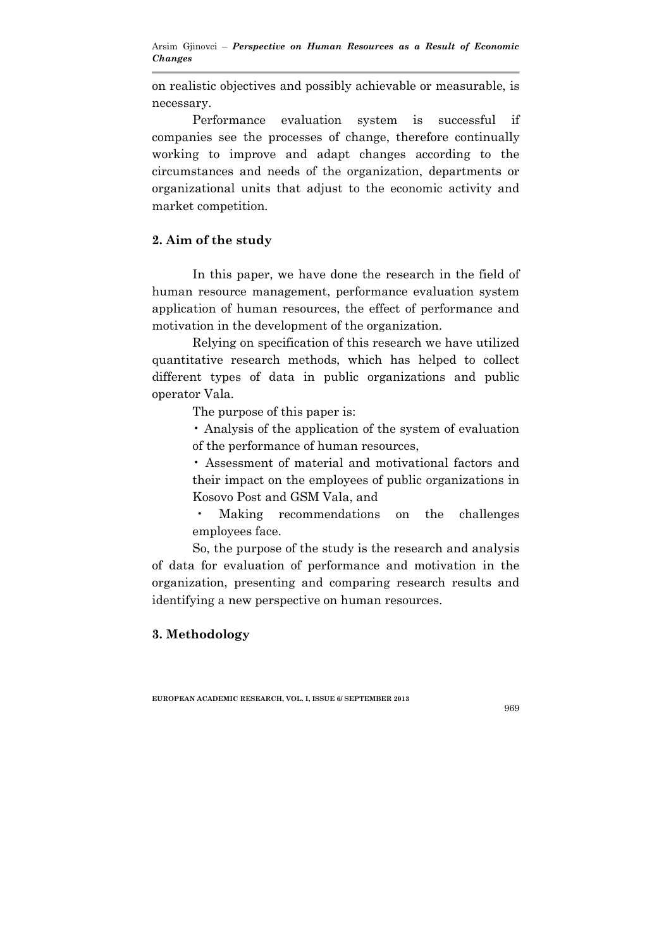on realistic objectives and possibly achievable or measurable, is necessary.

 Performance evaluation system is successful if companies see the processes of change, therefore continually working to improve and adapt changes according to the circumstances and needs of the organization, departments or organizational units that adjust to the economic activity and market competition.

## 2. Aim of the study

 In this paper, we have done the research in the field of human resource management, performance evaluation system application of human resources, the effect of performance and motivation in the development of the organization.

 Relying on specification of this research we have utilized quantitative research methods, which has helped to collect different types of data in public organizations and public operator Vala.

The purpose of this paper is:

• Analysis of the application of the system of evaluation of the performance of human resources,

• Assessment of material and motivational factors and their impact on the employees of public organizations in Kosovo Post and GSM Vala, and

• Making recommendations on the challenges employees face.

So, the purpose of the study is the research and analysis of data for evaluation of performance and motivation in the organization, presenting and comparing research results and identifying a new perspective on human resources.

## 3. Methodology

EUROPEAN ACADEMIC RESEARCH, VOL. I, ISSUE 6/ SEPTEMBER 2013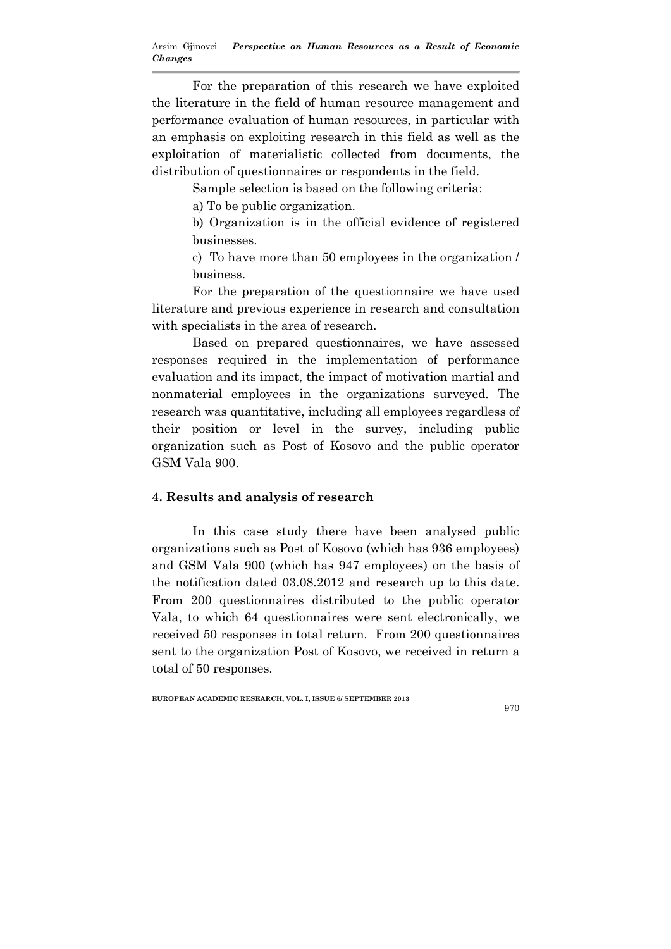For the preparation of this research we have exploited the literature in the field of human resource management and performance evaluation of human resources, in particular with an emphasis on exploiting research in this field as well as the exploitation of materialistic collected from documents, the distribution of questionnaires or respondents in the field.

Sample selection is based on the following criteria:

a) To be public organization.

b) Organization is in the official evidence of registered businesses.

c) To have more than 50 employees in the organization / business.

For the preparation of the questionnaire we have used literature and previous experience in research and consultation with specialists in the area of research.

 Based on prepared questionnaires, we have assessed responses required in the implementation of performance evaluation and its impact, the impact of motivation martial and nonmaterial employees in the organizations surveyed. The research was quantitative, including all employees regardless of their position or level in the survey, including public organization such as Post of Kosovo and the public operator GSM Vala 900.

## 4. Results and analysis of research

 In this case study there have been analysed public organizations such as Post of Kosovo (which has 936 employees) and GSM Vala 900 (which has 947 employees) on the basis of the notification dated 03.08.2012 and research up to this date. From 200 questionnaires distributed to the public operator Vala, to which 64 questionnaires were sent electronically, we received 50 responses in total return. From 200 questionnaires sent to the organization Post of Kosovo, we received in return a total of 50 responses.

#### EUROPEAN ACADEMIC RESEARCH, VOL. I, ISSUE 6/ SEPTEMBER 2013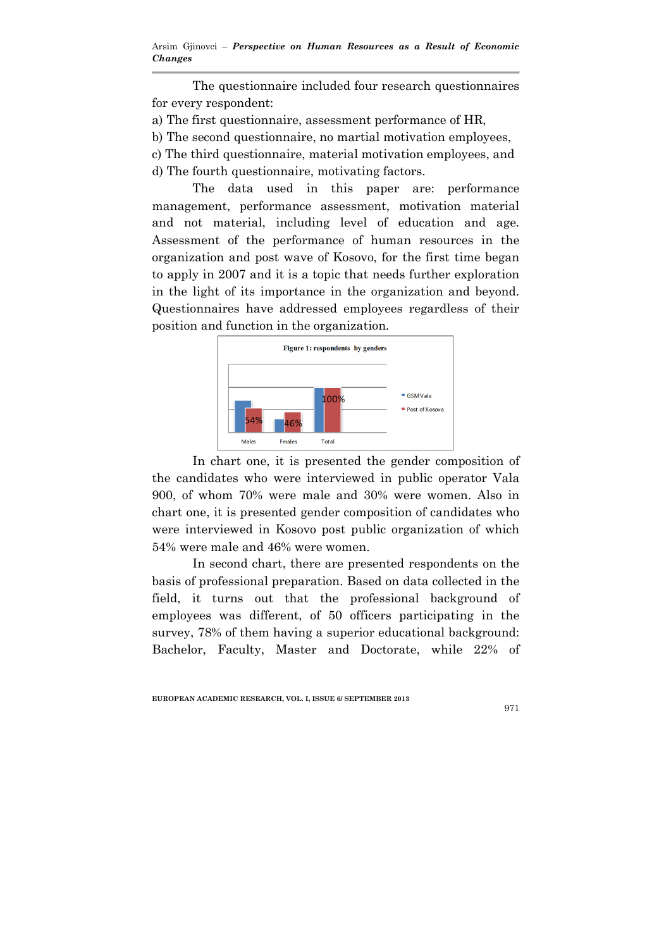The questionnaire included four research questionnaires for every respondent:

- a) The first questionnaire, assessment performance of HR,
- b) The second questionnaire, no martial motivation employees,
- c) The third questionnaire, material motivation employees, and
- d) The fourth questionnaire, motivating factors.

 The data used in this paper are: performance management, performance assessment, motivation material and not material, including level of education and age. Assessment of the performance of human resources in the organization and post wave of Kosovo, for the first time began to apply in 2007 and it is a topic that needs further exploration in the light of its importance in the organization and beyond. Questionnaires have addressed employees regardless of their position and function in the organization.



 In chart one, it is presented the gender composition of the candidates who were interviewed in public operator Vala 900, of whom 70% were male and 30% were women. Also in chart one, it is presented gender composition of candidates who were interviewed in Kosovo post public organization of which 54% were male and 46% were women.

In second chart, there are presented respondents on the basis of professional preparation. Based on data collected in the field, it turns out that the professional background of employees was different, of 50 officers participating in the survey, 78% of them having a superior educational background: Bachelor, Faculty, Master and Doctorate, while 22% of

EUROPEAN ACADEMIC RESEARCH, VOL. I, ISSUE 6/ SEPTEMBER 2013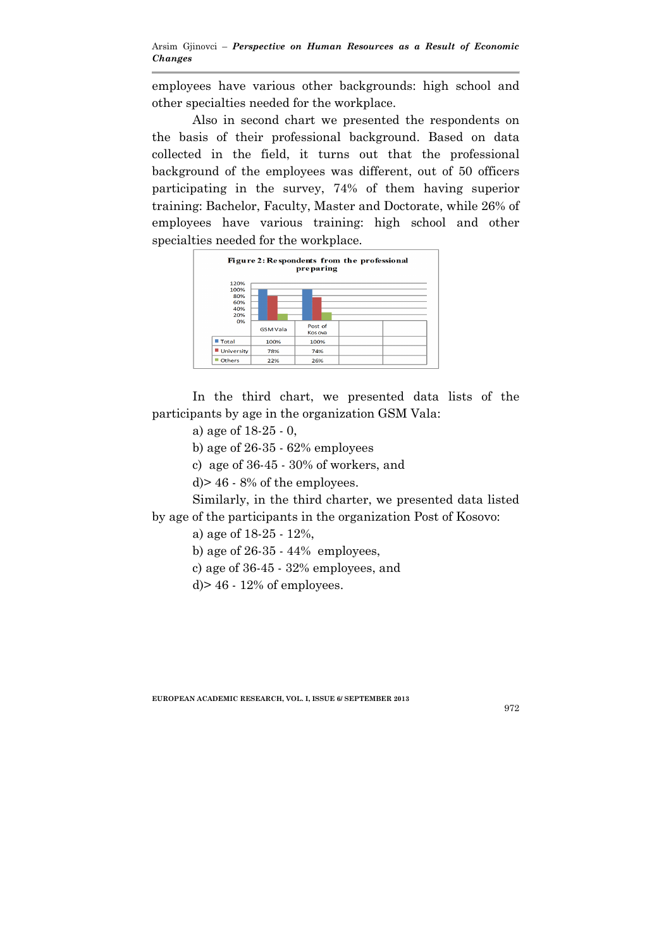employees have various other backgrounds: high school and other specialties needed for the workplace.

Also in second chart we presented the respondents on the basis of their professional background. Based on data collected in the field, it turns out that the professional background of the employees was different, out of 50 officers participating in the survey, 74% of them having superior training: Bachelor, Faculty, Master and Doctorate, while 26% of employees have various training: high school and other specialties needed for the workplace.



 In the third chart, we presented data lists of the participants by age in the organization GSM Vala:

a) age of 18-25 - 0,

b) age of 26-35 - 62% employees

c) age of 36-45 - 30% of workers, and

d)> 46 - 8% of the employees.

Similarly, in the third charter, we presented data listed by age of the participants in the organization Post of Kosovo:

a) age of 18-25 - 12%,

b) age of  $26-35 - 44\%$  employees,

c) age of 36-45 - 32% employees, and

d $> 46 - 12\%$  of employees.

EUROPEAN ACADEMIC RESEARCH, VOL. I, ISSUE 6/ SEPTEMBER 2013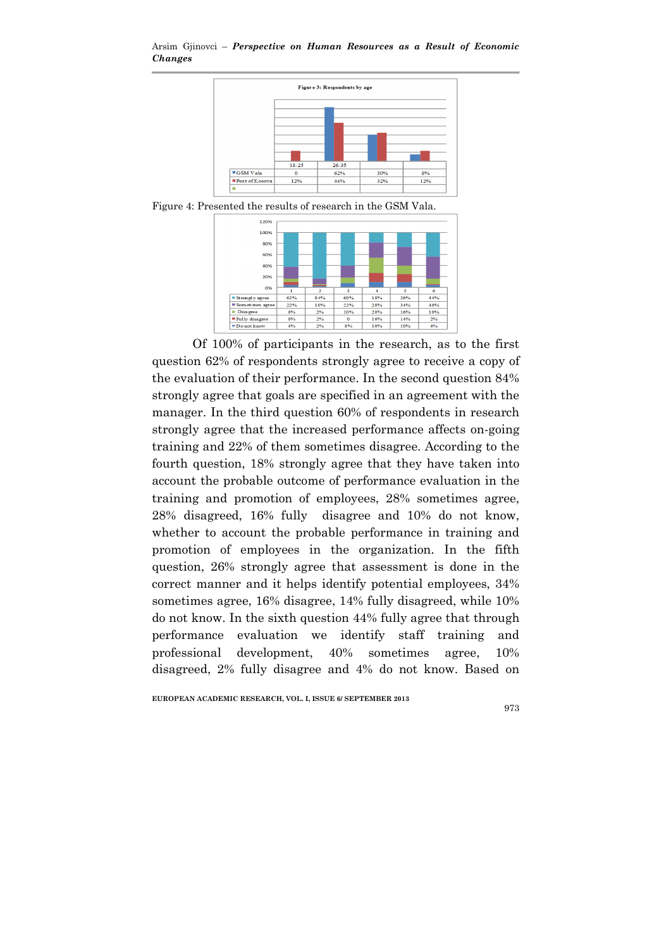Arsim Gjinovci – *Perspective on Human Resources as a Result of Economic Changes* 



Figure 4: Presented the results of research in the GSM Vala.



 Of 100% of participants in the research, as to the first question 62% of respondents strongly agree to receive a copy of the evaluation of their performance. In the second question 84% strongly agree that goals are specified in an agreement with the manager. In the third question 60% of respondents in research strongly agree that the increased performance affects on-going training and 22% of them sometimes disagree. According to the fourth question, 18% strongly agree that they have taken into account the probable outcome of performance evaluation in the training and promotion of employees, 28% sometimes agree, 28% disagreed, 16% fully disagree and 10% do not know, whether to account the probable performance in training and promotion of employees in the organization. In the fifth question, 26% strongly agree that assessment is done in the correct manner and it helps identify potential employees, 34% sometimes agree, 16% disagree, 14% fully disagreed, while 10% do not know. In the sixth question 44% fully agree that through performance evaluation we identify staff training and professional development, 40% sometimes agree, 10% disagreed, 2% fully disagree and 4% do not know. Based on

EUROPEAN ACADEMIC RESEARCH, VOL. I, ISSUE 6/ SEPTEMBER 2013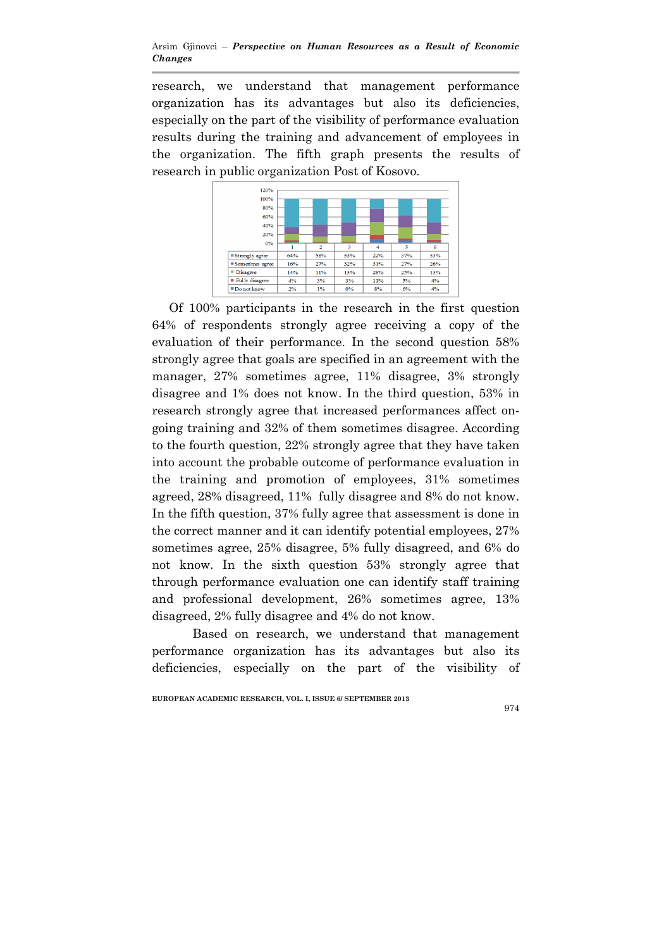research, we understand that management performance organization has its advantages but also its deficiencies, especially on the part of the visibility of performance evaluation results during the training and advancement of employees in the organization. The fifth graph presents the results of research in public organization Post of Kosovo.



 Of 100% participants in the research in the first question 64% of respondents strongly agree receiving a copy of the evaluation of their performance. In the second question 58% strongly agree that goals are specified in an agreement with the manager, 27% sometimes agree, 11% disagree, 3% strongly disagree and 1% does not know. In the third question, 53% in research strongly agree that increased performances affect ongoing training and 32% of them sometimes disagree. According to the fourth question, 22% strongly agree that they have taken into account the probable outcome of performance evaluation in the training and promotion of employees, 31% sometimes agreed, 28% disagreed, 11% fully disagree and 8% do not know. In the fifth question, 37% fully agree that assessment is done in the correct manner and it can identify potential employees, 27% sometimes agree, 25% disagree, 5% fully disagreed, and 6% do not know. In the sixth question 53% strongly agree that through performance evaluation one can identify staff training and professional development, 26% sometimes agree, 13% disagreed, 2% fully disagree and 4% do not know.

Based on research, we understand that management performance organization has its advantages but also its deficiencies, especially on the part of the visibility of

EUROPEAN ACADEMIC RESEARCH, VOL. I, ISSUE 6/ SEPTEMBER 2013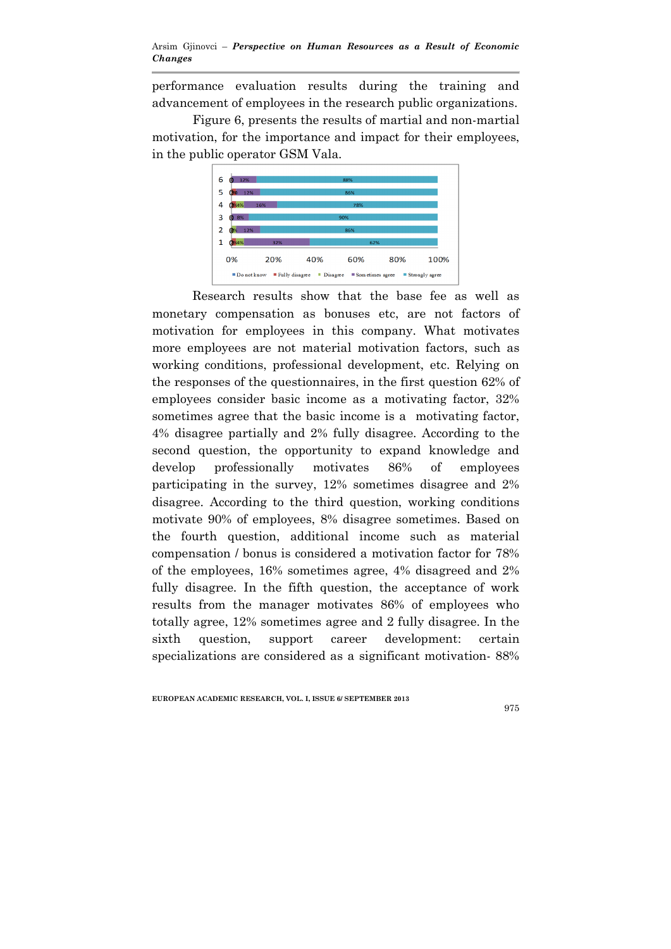performance evaluation results during the training and advancement of employees in the research public organizations.

Figure 6, presents the results of martial and non-martial motivation, for the importance and impact for their employees, in the public operator GSM Vala.



 Research results show that the base fee as well as monetary compensation as bonuses etc, are not factors of motivation for employees in this company. What motivates more employees are not material motivation factors, such as working conditions, professional development, etc. Relying on the responses of the questionnaires, in the first question 62% of employees consider basic income as a motivating factor, 32% sometimes agree that the basic income is a motivating factor, 4% disagree partially and 2% fully disagree. According to the second question, the opportunity to expand knowledge and develop professionally motivates 86% of employees participating in the survey, 12% sometimes disagree and 2% disagree. According to the third question, working conditions motivate 90% of employees, 8% disagree sometimes. Based on the fourth question, additional income such as material compensation / bonus is considered a motivation factor for 78% of the employees, 16% sometimes agree, 4% disagreed and 2% fully disagree. In the fifth question, the acceptance of work results from the manager motivates 86% of employees who totally agree, 12% sometimes agree and 2 fully disagree. In the sixth question, support career development: certain specializations are considered as a significant motivation- 88%

EUROPEAN ACADEMIC RESEARCH, VOL. I, ISSUE 6/ SEPTEMBER 2013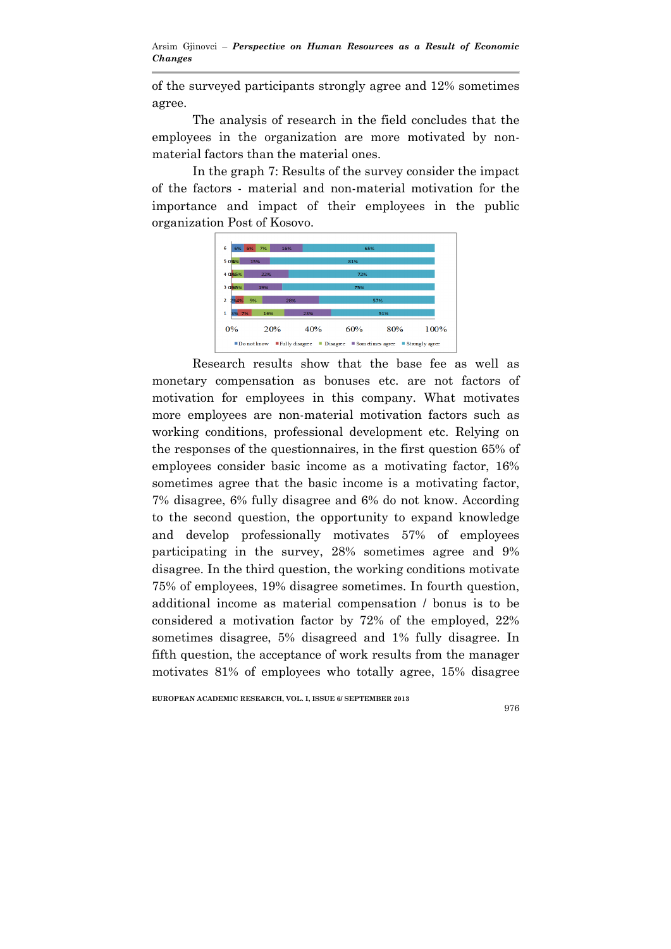of the surveyed participants strongly agree and 12% sometimes agree.

The analysis of research in the field concludes that the employees in the organization are more motivated by nonmaterial factors than the material ones.

In the graph 7: Results of the survey consider the impact of the factors - material and non-material motivation for the importance and impact of their employees in the public organization Post of Kosovo.



 Research results show that the base fee as well as monetary compensation as bonuses etc. are not factors of motivation for employees in this company. What motivates more employees are non-material motivation factors such as working conditions, professional development etc. Relying on the responses of the questionnaires, in the first question 65% of employees consider basic income as a motivating factor, 16% sometimes agree that the basic income is a motivating factor, 7% disagree, 6% fully disagree and 6% do not know. According to the second question, the opportunity to expand knowledge and develop professionally motivates 57% of employees participating in the survey, 28% sometimes agree and 9% disagree. In the third question, the working conditions motivate 75% of employees, 19% disagree sometimes. In fourth question, additional income as material compensation / bonus is to be considered a motivation factor by 72% of the employed, 22% sometimes disagree, 5% disagreed and 1% fully disagree. In fifth question, the acceptance of work results from the manager motivates 81% of employees who totally agree, 15% disagree

EUROPEAN ACADEMIC RESEARCH, VOL. I, ISSUE 6/ SEPTEMBER 2013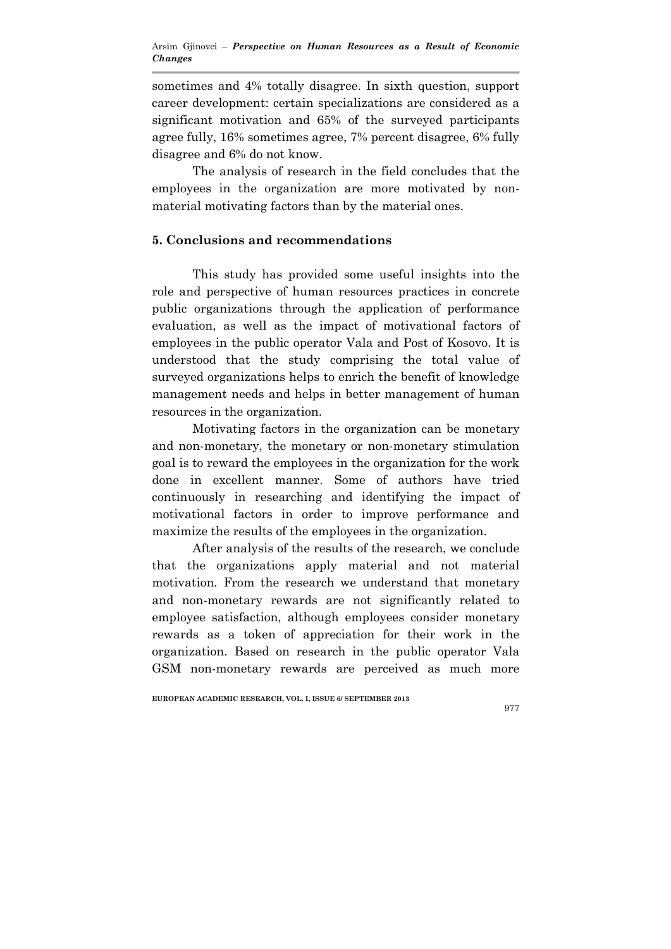sometimes and 4% totally disagree. In sixth question, support career development: certain specializations are considered as a significant motivation and 65% of the surveyed participants agree fully, 16% sometimes agree, 7% percent disagree, 6% fully disagree and 6% do not know.

The analysis of research in the field concludes that the employees in the organization are more motivated by nonmaterial motivating factors than by the material ones.

## 5. Conclusions and recommendations

 This study has provided some useful insights into the role and perspective of human resources practices in concrete public organizations through the application of performance evaluation, as well as the impact of motivational factors of employees in the public operator Vala and Post of Kosovo. It is understood that the study comprising the total value of surveyed organizations helps to enrich the benefit of knowledge management needs and helps in better management of human resources in the organization.

 Motivating factors in the organization can be monetary and non-monetary, the monetary or non-monetary stimulation goal is to reward the employees in the organization for the work done in excellent manner. Some of authors have tried continuously in researching and identifying the impact of motivational factors in order to improve performance and maximize the results of the employees in the organization.

 After analysis of the results of the research, we conclude that the organizations apply material and not material motivation. From the research we understand that monetary and non-monetary rewards are not significantly related to employee satisfaction, although employees consider monetary rewards as a token of appreciation for their work in the organization. Based on research in the public operator Vala GSM non-monetary rewards are perceived as much more

#### EUROPEAN ACADEMIC RESEARCH, VOL. I, ISSUE 6/ SEPTEMBER 2013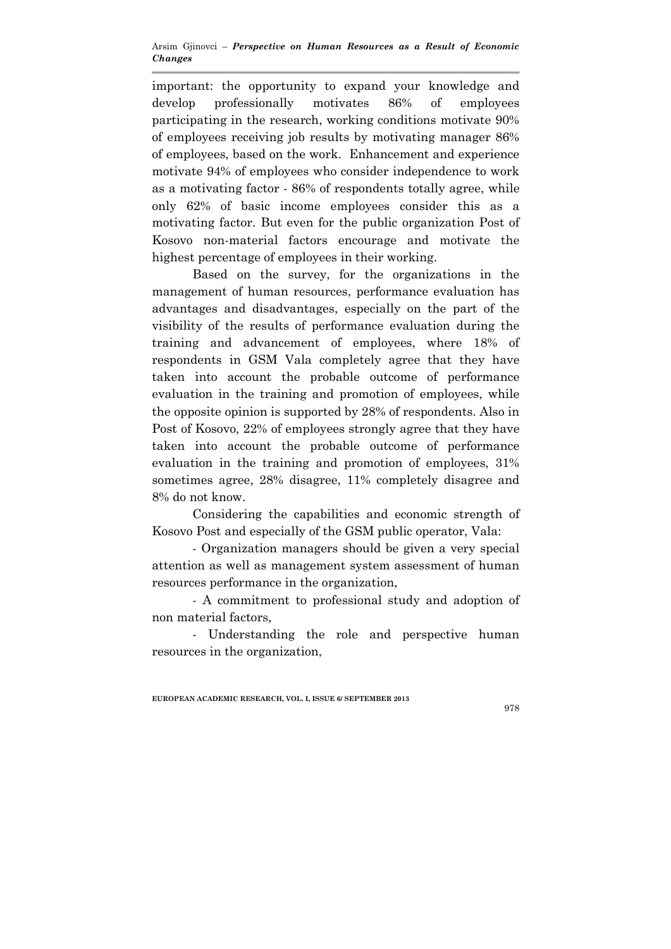important: the opportunity to expand your knowledge and develop professionally motivates 86% of employees participating in the research, working conditions motivate 90% of employees receiving job results by motivating manager 86% of employees, based on the work. Enhancement and experience motivate 94% of employees who consider independence to work as a motivating factor - 86% of respondents totally agree, while only 62% of basic income employees consider this as a motivating factor. But even for the public organization Post of Kosovo non-material factors encourage and motivate the highest percentage of employees in their working.

 Based on the survey, for the organizations in the management of human resources, performance evaluation has advantages and disadvantages, especially on the part of the visibility of the results of performance evaluation during the training and advancement of employees, where 18% of respondents in GSM Vala completely agree that they have taken into account the probable outcome of performance evaluation in the training and promotion of employees, while the opposite opinion is supported by 28% of respondents. Also in Post of Kosovo, 22% of employees strongly agree that they have taken into account the probable outcome of performance evaluation in the training and promotion of employees, 31% sometimes agree, 28% disagree, 11% completely disagree and 8% do not know.

 Considering the capabilities and economic strength of Kosovo Post and especially of the GSM public operator, Vala:

- Organization managers should be given a very special attention as well as management system assessment of human resources performance in the organization,

- A commitment to professional study and adoption of non material factors,

- Understanding the role and perspective human resources in the organization,

EUROPEAN ACADEMIC RESEARCH, VOL. I, ISSUE 6/ SEPTEMBER 2013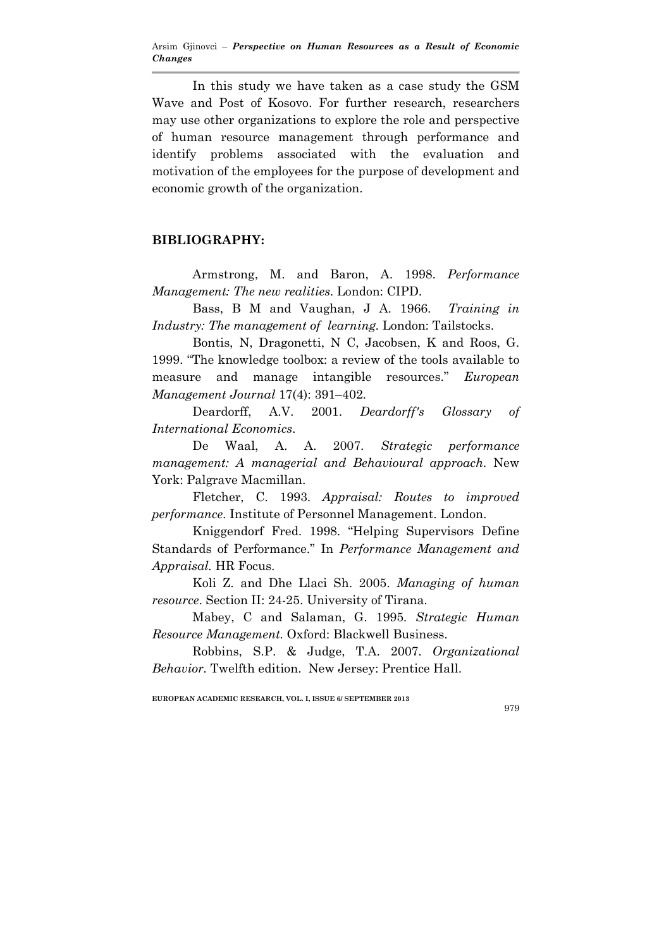In this study we have taken as a case study the GSM Wave and Post of Kosovo. For further research, researchers may use other organizations to explore the role and perspective of human resource management through performance and identify problems associated with the evaluation and motivation of the employees for the purpose of development and economic growth of the organization.

### BIBLIOGRAPHY:

Armstrong, M. and Baron, A. 1998. *Performance Management: The new realities*. London: CIPD.

Bass, B M and Vaughan, J A. 1966. *Training in Industry: The management of learning.* London: Tailstocks.

Bontis, N, Dragonetti, N C, Jacobsen, K and Roos, G. 1999. "The knowledge toolbox: a review of the tools available to measure and manage intangible resources." *European Management Journal* 17(4): 391–402.

Deardorff, A.V. 2001. *Deardorff's Glossary of International Economics*.

De Waal, A. A. 2007. *Strategic performance management: A managerial and Behavioural approach*. New York: Palgrave Macmillan.

Fletcher, C. 1993. *Appraisal: Routes to improved performance*. Institute of Personnel Management. London.

Kniggendorf Fred. 1998. "Helping Supervisors Define Standards of Performance." In *Performance Management and Appraisal.* HR Focus.

Koli Z. and Dhe Llaci Sh. 2005. *Managing of human resource*. Section II: 24-25. University of Tirana.

Mabey, C and Salaman, G. 1995. *Strategic Human Resource Management.* Oxford: Blackwell Business.

Robbins, S.P. & Judge, T.A. 2007. *Organizational Behavior.* Twelfth edition. New Jersey: Prentice Hall.

EUROPEAN ACADEMIC RESEARCH, VOL. I, ISSUE 6/ SEPTEMBER 2013